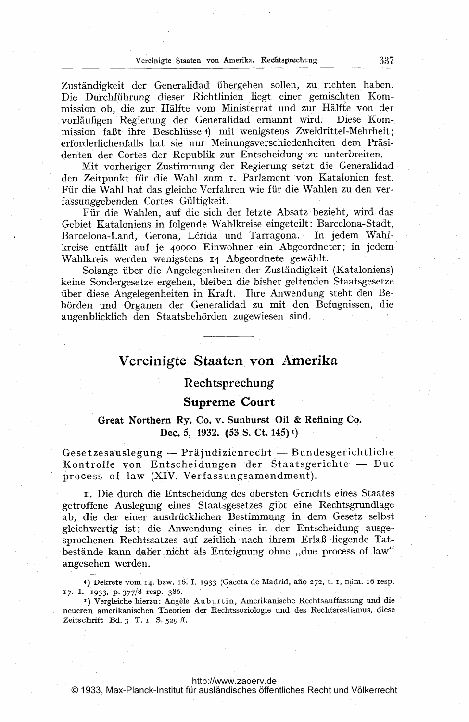Zuständigkeit der Generalidad übergehen sollen, zu richten haben. Die Durchführung dieser Richtlinien liegt einer gemischten Kommission ob, die zur Hälfte vom Ministerrat und zur Hälfte von der vorläufigen Regierung der Generalidad ernannt wird. Diese Kommission faßt ihre Beschlüsse 4) mit wenigstens Zweidrittel-Mehrheit; erforderlichenfalls hat sie nur Meinungsverschiedenheiten dem Präsidenten der Cortes der Republik zur Entscheidung zu unterbreiten.

Mit vorheriger Zustimmung der Regierung setzt die Generalidad den Zeitpunkt für die Wahl zum I. Parlament von Katalonien fest. Für die Wahl hat das gleiche Verfahren wie für die Wahlen zu den verfassunggebenden Cortes Gültigkeit.

Für die Wahlen, auf die sich der letzte Absatz bezieht, wird das Gebiet Kataloniens in folgende Wahlkreise eingeteilt: Barcelona-Stadt, Barcelona-Land, Gerona, Lérida und Tarragona. In jedem Wahlkreise entfällt auf je 40000 Einwohner ein Abgeordneter; in jedem Wahlkreis werden wenigstens 14 Abgeordnete gewählt.

Solange über die Angelegenheiten der Zuständigkeit (Kataloniens) keine Sondergesetze ergehen, bleiben die bisher geltenden Staatsgesetze über diese Angelegenheiten in Kraft. Ihre Anwendung steht den Behörden und Organen der Generalidad zu mit den Befugnissen, die augenblicklich den Staatsbehörden zugewiesen sind.

# Vereinigte Staaten von Amerika

## Rechtsprechung

### Supreme Court

## Great Northern Ry. Co. v. Sunburst Oil & Refining Co. Dec. 5, 1932. (53 S. Ct. 145)<sup>1</sup>)

.<br>Gesetzesauslegung — Präjudizienrecht — Bundesgerichtliche Kontrolle von Entscheidungen der Staatsgerichte - Due process of law (XIV. Verfassungsamendment).

i. Die durch die Entscheidung des obersten Gerichts eines Staates getroffene Auslegung eines Staatsgesetzes gibt eine Rechtsgrundlage ab, die der einer ausdrücklichen Bestimmung in dem Gesetz selbst gleichwertig ist; die Anwendung eines in der Entscheidung ausgesprochenen Rechtssatzes auf zeitlich nach ihrem Erlaß liegende Tatbestände kann daher nicht als Enteignung ohne "due process of law" angesehen werden.

© 1933, Max-Planck-Institut für ausländisches öffentliches Recht und Völkerrecht

<sup>4)</sup> Dekrete vom 14. bzw. 16. I. 1933 (Gaceta de Madrid, año 272, t. I, núm. 16 resp. 17. L 1933, P. 377/8 resp. 386.

<sup>&</sup>lt;sup>1</sup>) Vergleiche hierzu: Angèle Auburtin, Amerikanische Rechtsauffassung und die neueren amerikanischen Theorien der Rechtssoziologie und des Rechtsrealismus, diese Zeitschrift Bd.  $3$  T.  $1$  S.  $529$  ff.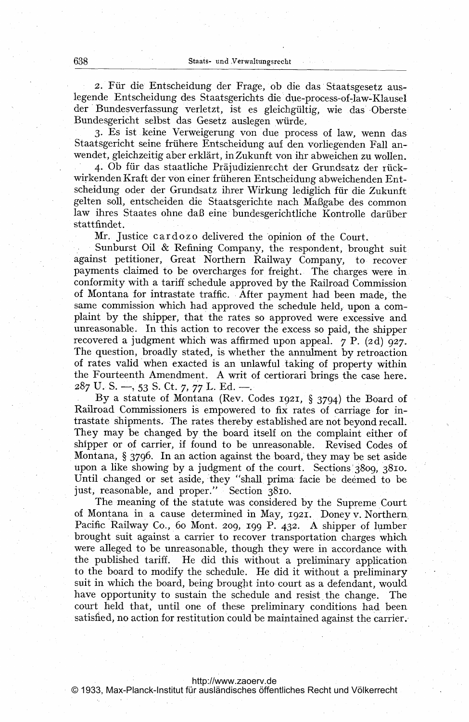2. Für die Entscheidung der Frage, ob die das Staatsgesetz auslegende Entscheidung des Staatsgerichts die due-process-of-law-Klausel der Bundesverfassung verletzt, ist es gleichgültig, wie das Oberste Bundesgericht selbst das Gesetz auslegen wiirde.. 2. Für die Entscheidung der Frage, ob die das Staatsgesetz aus<br>nde Entscheidung des Staatsgerichts die due-process-of-law-Klause<br>Bundesverfassung verletzt, ist es gleichgültig, wie das Oberst<br>desgericht selbst das Gesetz a

3. Es ist keine Verweigerung von due process of law, wenn das Staatsgericht seine frühere Entscheidung auf den vorliegenden Fall anwendet, gleichzeitig aber erklärt, in Zukunft von ihr abweichen zu wollen.

wirkenden Kraft der von einer früheren Entscheidung abweichenden Entscheidung oder der Grundsatz ihrer Wirkung lediglich für die Zukunft gelten soll, entscheiden die Staatsgerichte nach Maßgabe des common law ihres Staates ohne daß eine bundesgerichtliche Kontrolle darüberstattfindet.

Mr. Justice cardozo delivered the opinion of the Court.

Sunburst Oil & Refining Company, the respondent, brought suit against petitioner, Great Northern Railway Company, to recoverpayments claimed to be overcharges for freight. The charges were in conformity with a tariff schedule approved by the Railroad Commission of Montana for intrastate traffic. After payment had been made, the same commission which had approved the schedule held, upon <sup>a</sup> complaint by the shipper, that the rates so approved were excessive and unreasonable. In this action to recover the excess so paid, the shipper recovered <sup>a</sup> judgment which was affirmed upon appeal. <sup>7</sup> P. (2d) 927- The question, broadly stated, is whether the annulment by retroaction of rates valid'when exacted is an unlawful taking of property within the Fourteenth Amendment. A writ of certiorari brings the case here. 287 U.S.  $-$ , 53 S.Ct. 7, 77 L.Ed.  $-$ .

By <sup>a</sup> statute of Montana (Rev. Codes 1921, § 3794) the Board of Railroad Commissioners is empowered to fix rates of carriage for intrastate shipments. The rates thereby established are not beyond recall. They may be changed by the board itself on the complaint either of shipper or of carrier, if found to be unreasonable. Revised Codes of Montana, § 3796. In an action against the board, they may be set aside upon a like showing by a judgment of the court. Sections'3809, 381o. Until changed or set aside, they "shall prima facie be deemed to be just, reasonable, and proper." Section 3810.

The meaning of the statute was considered by the Supreme Court of Montana in a cause determined in May, 1921. Doney v. Northern, Pacific Railway Co., 60 Mont. 209, 199 P. 432. A shipper of lumber brought suit against a carrier to recover transportation charges which were alleged to be unreasonable, though they were in accordance with the published tariff. He did this without <sup>a</sup> preliminary application to the board to modify the schedule. He did it without <sup>a</sup> preliminary suit in which the board, being brought into court as a defendant, would have opportunity to sustain the schedule and resist the change. The court held that, until one of these preliminary conditions had been satisfied, no action for restitution could be maintained against the carrier.

<http://www.zaoerv.de>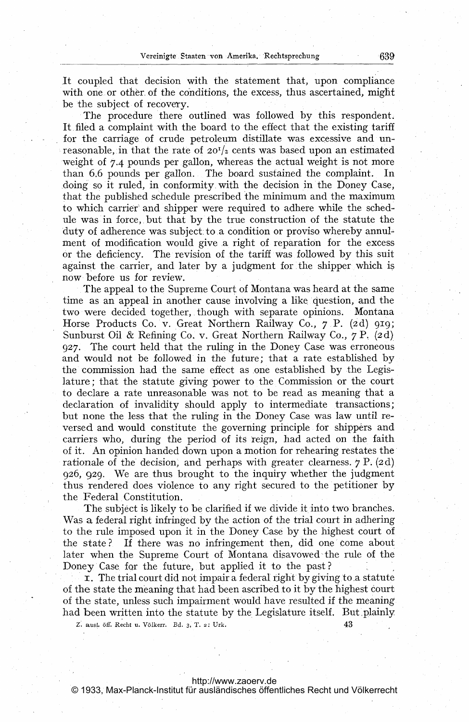It coupled that decision with the statement that, upon compliance with one or other, of the conditions, the excess, thus ascertained, might be the subject of recovery.

The procedure there outlined was followed by this respondent. It, filed a complaint with the board to the effect that the existing tariff for the carriage of crude petroleum distillate was excessive and unreasonable, in that the rate of  $20<sup>T</sup>/2$  cents was based upon an estimated weight of 7.4 pounds per gallon, whereas the actual weight is not more than 6.6 pounds per gallon. The board sustained the complaint. In doing so it ruled, in conformity. with the decision in the Doney Case, that the published schedule prescribed the minimum and the maximum to which carrier' and shipper were required to adhere while the schedule was in force.. but that by the true construction of the statute the 'duty of adherence was subject toa condition or proviso whereby annulment of modification would give a right of reparation for the excess or the deficiency. The revision of the tariff was followed by this suit against the carrier, and later by a judgment for the shipper which is now before us for review.

The appeal to the Supreme Court of Montana was heard at the same time as an appeal in another cause involving a like question, and the two were decided together, though with separate opinions. Montana Horse Products Co. v. Great Northern Railway Co.,  $7 \text{ P}$ . (2d) 919; Sunburst Oil & Refining Co. v. Great Northern Railway Co., 7 P. (2d) 927. The court held that the ruling in the Doney Case was erroneous and would not be followed in the future; that a rate established by the commission had the same effect as one established by the Legislature; that the statute giving 'power to the Commission or the court to declare a rate unreasonable was not to be read as meaning that a declaration of invalidity should apply to intermediate transactions; but none the less that the ruling in the Doney Case was law until reversed and would constitute the governing principle for shippers and carriers who, during the period of its reign, had acted on the faith of it. An opinion handed down upon <sup>a</sup> motion for rehearing restates the rationale of the decision, and perhaps with greater clearness.  $7 \text{ P.} (2d)$ 926, 929. We are thus brought to the inquiry whether the judgment thus rendered does violence to any right secured to the petitioner by the Federal. Constitution.

The subject is likely to be clarified if we divide it into two branches. Was a federal right infringed by the action of the trial court in adhering to the rule imposed upon it in the Doney Case by the highest court of the state? If there was no infringement then, did one come about later when the Supreme Court of Montana disavowed the rule of the Doney Case for the future, but applied it to the past?

**r.** The trial court did not impair a federal right by giving to a statute of the state the meaning that had been ascribed to it by the highest court of the state, unless such impairment would have resulted if the meaning had been written into the statute by the Legislature itself. But plainly

 $Z.$  ausl. öff. Recht u. Völkerr. Bd. 3, T. 2: Urk.  $43$ 

#### <http://www.zaoerv.de>

© 1933, Max-Planck-Institut für ausländisches öffentliches Recht und Völkerrecht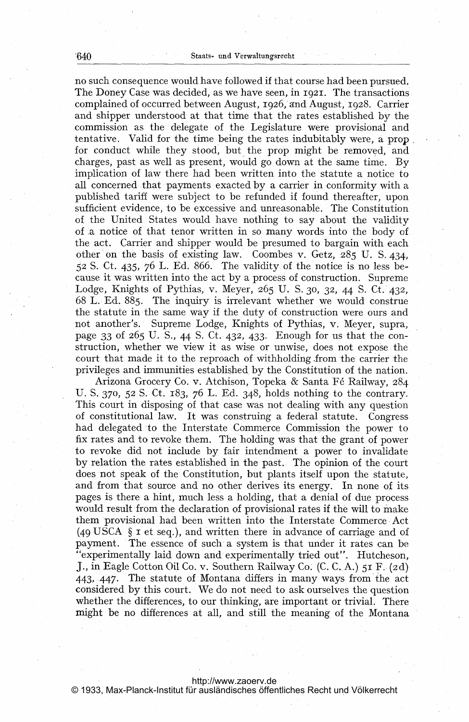no such consequence would have followed.if that course had been pursued. The Doney Case was decided, as we have seen, in 1921. The transactions complained of occurred between August, 1926, and August, 1928. Carrier and shipper understood at that time that the rates established by the commission as the delegate of the Legislature were provisional and tentative. Valid for the time being the rates indubitably were, a prop for conduct while they stood, but the prop might be removed, and charges, past as well as present, would go down at the same time. By implication of law there had been written into the statute a notice to all concerned that payments exacted by a carrier in conformity with a published tariff were subject to be refunded if found thereafter, upon sufficient evidence, to be excessive and unreasonable. The Constitution of the United States would have nothing to say about the validity of a notice of that tenor written in so many words into the body of the act. Carrier and shipper would be presumed to bargain with each other on the basis of existing law. Coombes v. Getz, 285 U. S. 434, 52 S. Ct. 435, 76 L. Ed. 866. The validity of the notice is no less because it was written into the act by a process of construction. Supreme Lodge, Knights of Pythias, v. Meyer,  $265$  U. S. 30, 32, 44 S. Ct. 432, 68 L. Ed. 885. The inquiry is irrelevant whether we would construe the statute in the same way if the duty of construction were ours and not another's. Supreme Lodge, Knights of Pythias, v. Meyer, supra, page 33 of 265 U. S., 44 S. Ct. 432, 433. Enough for us that the construction, whether we view it as wise or unwise, does not expose the court that made it to the reproach of withholding.from the carrier the privileges and immunities established by the Constitution of the nation.

Arizona Grocery Co. v. Atchison, Topeka & Santa F6 Railway, 284 U. S. 370, 52 S. Ct. 183, 76 L. Ed. 348, holds nothing to the contrary. This court in disposing of that case was not dealing with any question of constitutional law. It was construing a federal statute. Congress had delegated to the Interstate Commerce Commission the power to fix rates and to revoke them. The holding was that the grant of power to revoke did not include by fair intendment a power to invalidate by relation the rates established in the past. The opinion of the court does not speak of the Constitution, but plants itself upon the statute, and from that source and no other derives its energy. In none of its pages is there <sup>a</sup> hint, much less <sup>a</sup> holding, that <sup>a</sup> denial of due process would result from the declaration of provisional rates if the will to make them provisional had been written into the Interstate Commerce Act (49 USCA  $\S$  I et seq.), and written there in advance of carriage and of payment. The essence of such <sup>a</sup> system is that under it rates can be "experimentally laid down and experimentally tried out". Hutcheson, J., in Eagle Cotton Oil Co. v. Southern Railway Co. (C. C. A.) 51 F. (2d) 443, 447. The statute of Montana differs in many ways from the act considered by this court. We do not need to ask ourselves the question whether the differences, to our thinking, are important or trivial. There might be no differences at all, and still the meaning of the Montana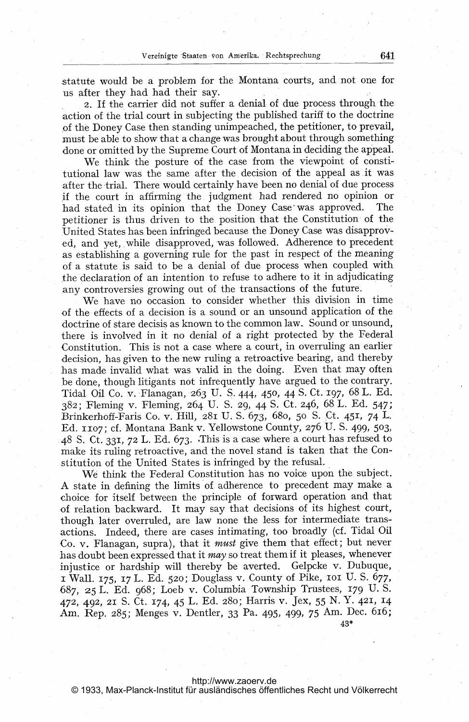statute would be a problem for the Montana courts, and. not one for us after they had had their say.

2. If the carrier did not suffer a denial of due process through the -action of the trial court in subjecting the published tariff to the doctrine of the Doney Case then standing unimpeached, the petitioner, to prevail, must be able to show that a change was brought about through something done or omitted by the Supreme Court of Montana in deciding the appeal.

We think the posture of the case from the viewpoint of constitutional law was the same after the decision of the appeal as it was after the trial. There would certainly have been no denial of due process ,if the court in affirming the judgment had rendered no opinion or had stated in its opinion that the Doney Case was approved. The petitioner is thus driven to the position that the Constitution of the United States has,been infringed because the Doney Case was disapproved, and yet, while disapproved, was followed. Adherence to precedent as establishing a governing rule for the past in respect of the meaning of <sup>a</sup> statute is said to be <sup>a</sup> denial of due process when coupled with .the declaration of an intention to refuse to adhere to it in adjudicating any controversies growing out of the transactions of the future.

We have no occasion to consider whether this division in time of the effects of a decision is a sound or an unsound application of the doctrine of stare decisis as known to the common law.. Sound or unsound, there is involved in it no denial of a right protected by the Federal Constitution. This is not a case where a court, in overruling an earlier decision, has given to the new ruling <sup>a</sup> retroactive bearing, and thereby has made invalid what was valid in the doing. Even that may often be done, though litigants not infrequently have argued to the contrary. Tidal. Oil Co. v. Flanagan, 263 U. S. 444, 450, 44S. Ct. 197, 68 L. Ed. 382; Fleming v. Fleming, 264 U. S. 29, 44 S. Ct. 246, 68 L. Ed. 547; Brinkerhoff-Faris Co. v. Hill, 281 U. S. 673, 68o, 50 S. Ct. 451, 74 L, Ed. 1107; cf. Montana Bank v. Yellowstone County, 276 U.S. 499, 503, 48 S. Ct. 331, <sup>72</sup> L. Ed. 673. -This is <sup>a</sup> case where <sup>a</sup> court has refused to make its ruling retroactive, and the novel stand is taken that the Constitution of the United States is infringed by the refusal.

We think the Federal Constitution has no voice upon the subject. A.state in defining the limits of adherence to precedent may make <sup>a</sup> choice for itself between the principle of forward operation and that of relation backward. It may say that decisions of its highest court, though later overruled, are law none the less for intermediate transactions. Indeed, there are cases intimating, too broadly (cf. Tidal Oil Co. v. Flanagan, supra), that it must give them that effect; but never has doubt been expressed that it may so treat them if it pleases, whenever injustice or hardship will thereby be averted. Gelpcke v. Dubuque, <sup>i</sup> Wall. 175, <sup>17</sup> L. Ed. 520; Douglass v. County of Pike, ioi U. S. 677, 687, 25 L. Ed. 968; Loeb v. Columbia Township Trustees, 179 U.S. 472, 492, <sup>21</sup> S. Ct. 174, <sup>45</sup> L. Ed. 28o; Harris v. Jex, <sup>55</sup> N. Y. 421, 14 Am. Rep. 285; Menges v. Dentler, <sup>33</sup> Pa. 495, 499, <sup>75</sup> Am. Dec. 616; 43\*